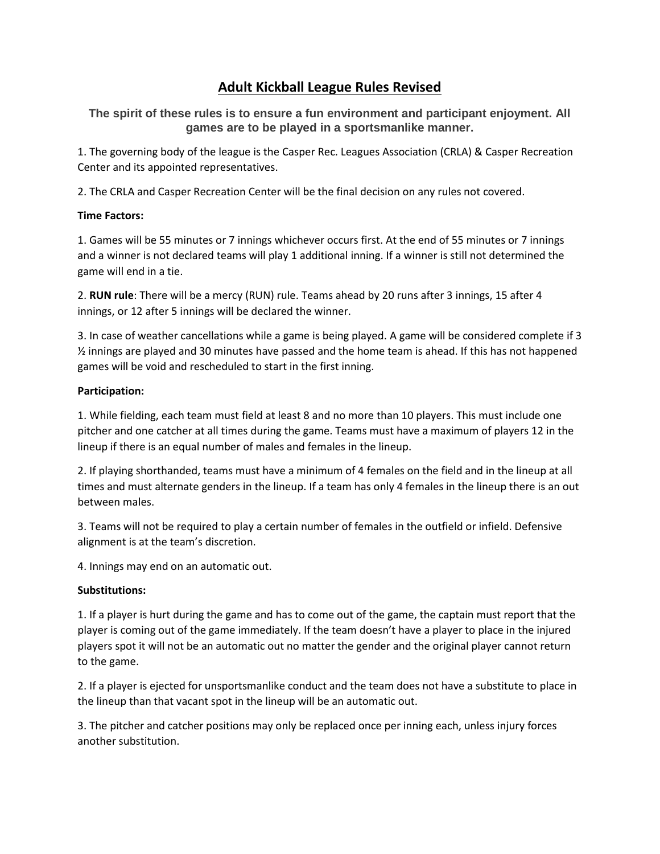# **Adult Kickball League Rules Revised**

**The spirit of these rules is to ensure a fun environment and participant enjoyment. All games are to be played in a sportsmanlike manner.**

1. The governing body of the league is the Casper Rec. Leagues Association (CRLA) & Casper Recreation Center and its appointed representatives.

2. The CRLA and Casper Recreation Center will be the final decision on any rules not covered.

## **Time Factors:**

1. Games will be 55 minutes or 7 innings whichever occurs first. At the end of 55 minutes or 7 innings and a winner is not declared teams will play 1 additional inning. If a winner is still not determined the game will end in a tie.

2. **RUN rule**: There will be a mercy (RUN) rule. Teams ahead by 20 runs after 3 innings, 15 after 4 innings, or 12 after 5 innings will be declared the winner.

3. In case of weather cancellations while a game is being played. A game will be considered complete if 3 ½ innings are played and 30 minutes have passed and the home team is ahead. If this has not happened games will be void and rescheduled to start in the first inning.

## **Participation:**

1. While fielding, each team must field at least 8 and no more than 10 players. This must include one pitcher and one catcher at all times during the game. Teams must have a maximum of players 12 in the lineup if there is an equal number of males and females in the lineup.

2. If playing shorthanded, teams must have a minimum of 4 females on the field and in the lineup at all times and must alternate genders in the lineup. If a team has only 4 females in the lineup there is an out between males.

3. Teams will not be required to play a certain number of females in the outfield or infield. Defensive alignment is at the team's discretion.

4. Innings may end on an automatic out.

# **Substitutions:**

1. If a player is hurt during the game and has to come out of the game, the captain must report that the player is coming out of the game immediately. If the team doesn't have a player to place in the injured players spot it will not be an automatic out no matter the gender and the original player cannot return to the game.

2. If a player is ejected for unsportsmanlike conduct and the team does not have a substitute to place in the lineup than that vacant spot in the lineup will be an automatic out.

3. The pitcher and catcher positions may only be replaced once per inning each, unless injury forces another substitution.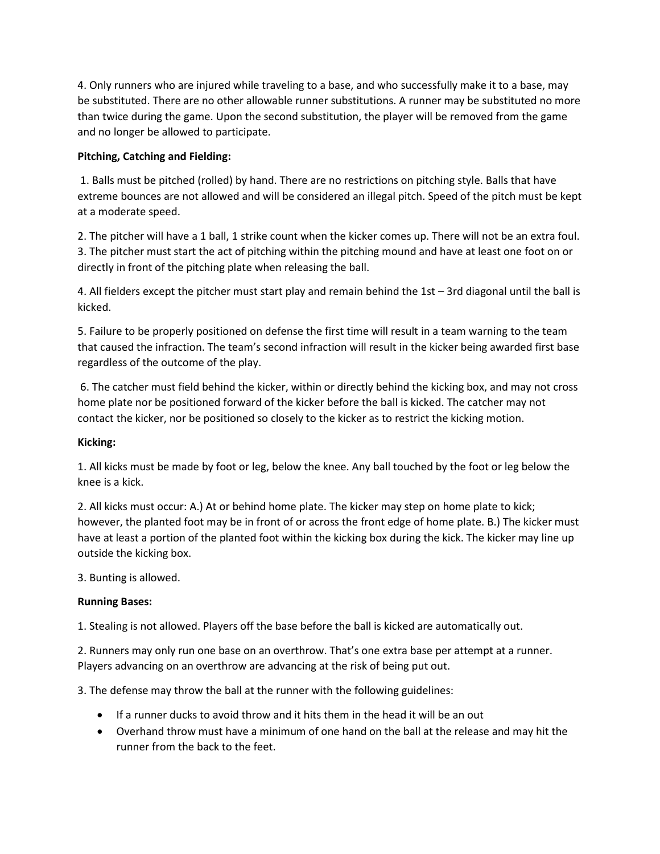4. Only runners who are injured while traveling to a base, and who successfully make it to a base, may be substituted. There are no other allowable runner substitutions. A runner may be substituted no more than twice during the game. Upon the second substitution, the player will be removed from the game and no longer be allowed to participate.

# **Pitching, Catching and Fielding:**

1. Balls must be pitched (rolled) by hand. There are no restrictions on pitching style. Balls that have extreme bounces are not allowed and will be considered an illegal pitch. Speed of the pitch must be kept at a moderate speed.

2. The pitcher will have a 1 ball, 1 strike count when the kicker comes up. There will not be an extra foul. 3. The pitcher must start the act of pitching within the pitching mound and have at least one foot on or directly in front of the pitching plate when releasing the ball.

4. All fielders except the pitcher must start play and remain behind the 1st – 3rd diagonal until the ball is kicked.

5. Failure to be properly positioned on defense the first time will result in a team warning to the team that caused the infraction. The team's second infraction will result in the kicker being awarded first base regardless of the outcome of the play.

6. The catcher must field behind the kicker, within or directly behind the kicking box, and may not cross home plate nor be positioned forward of the kicker before the ball is kicked. The catcher may not contact the kicker, nor be positioned so closely to the kicker as to restrict the kicking motion.

#### **Kicking:**

1. All kicks must be made by foot or leg, below the knee. Any ball touched by the foot or leg below the knee is a kick.

2. All kicks must occur: A.) At or behind home plate. The kicker may step on home plate to kick; however, the planted foot may be in front of or across the front edge of home plate. B.) The kicker must have at least a portion of the planted foot within the kicking box during the kick. The kicker may line up outside the kicking box.

3. Bunting is allowed.

#### **Running Bases:**

1. Stealing is not allowed. Players off the base before the ball is kicked are automatically out.

2. Runners may only run one base on an overthrow. That's one extra base per attempt at a runner. Players advancing on an overthrow are advancing at the risk of being put out.

3. The defense may throw the ball at the runner with the following guidelines:

- If a runner ducks to avoid throw and it hits them in the head it will be an out
- Overhand throw must have a minimum of one hand on the ball at the release and may hit the runner from the back to the feet.